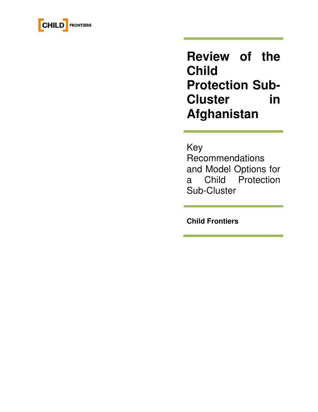

**Review of the Child Protection Sub-Cluster in Afghanistan** 

## Key

Recommendations and Model Options for a Child Protection Sub-Cluster

**Child Frontiers**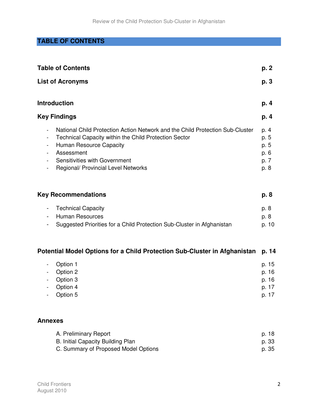## **TABLE OF CONTENTS**

| <b>Table of Contents</b>                                                                                                                                                                                                                                       | p. 2                                         |
|----------------------------------------------------------------------------------------------------------------------------------------------------------------------------------------------------------------------------------------------------------------|----------------------------------------------|
| <b>List of Acronyms</b>                                                                                                                                                                                                                                        | p. 3                                         |
| <b>Introduction</b>                                                                                                                                                                                                                                            | p. 4                                         |
| <b>Key Findings</b>                                                                                                                                                                                                                                            | p. 4                                         |
| National Child Protection Action Network and the Child Protection Sub-Cluster<br>Technical Capacity within the Child Protection Sector<br>Human Resource Capacity<br>Assessment<br>Sensitivities with Government<br><b>Regional/ Provincial Level Networks</b> | p. 4<br>p. 5<br>p. 5<br>p. 6<br>p. 7<br>p. 8 |

| <b>Key Recommendations</b>                                               |       |  |  |  |
|--------------------------------------------------------------------------|-------|--|--|--|
| - Technical Capacity                                                     | p. 8  |  |  |  |
| - Human Resources                                                        | p. 8  |  |  |  |
| - Suggested Priorities for a Child Protection Sub-Cluster in Afghanistan | p. 10 |  |  |  |

## **Potential Model Options for a Child Protection Sub-Cluster in Afghanistan p. 14**

| - Option 1 | p. 15 |
|------------|-------|
| - Option 2 | p. 16 |
| - Option 3 | p. 16 |
| - Option 4 | p. 17 |
| - Option 5 | p. 17 |

## **Annexes**

| A. Preliminary Report                | p. 18 |
|--------------------------------------|-------|
| B. Initial Capacity Building Plan    | p. 33 |
| C. Summary of Proposed Model Options | p. 35 |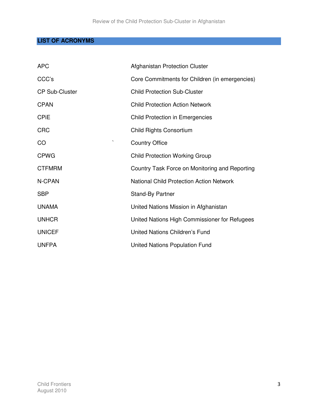## **LIST OF ACRONYMS**

| <b>APC</b>            | Afghanistan Protection Cluster                  |
|-----------------------|-------------------------------------------------|
| CCC's                 | Core Commitments for Children (in emergencies)  |
| <b>CP Sub-Cluster</b> | <b>Child Protection Sub-Cluster</b>             |
| <b>CPAN</b>           | <b>Child Protection Action Network</b>          |
| <b>CPIE</b>           | <b>Child Protection in Emergencies</b>          |
| <b>CRC</b>            | Child Rights Consortium                         |
| CO                    | <b>Country Office</b>                           |
| <b>CPWG</b>           | <b>Child Protection Working Group</b>           |
| <b>CTFMRM</b>         | Country Task Force on Monitoring and Reporting  |
| N-CPAN                | <b>National Child Protection Action Network</b> |
| <b>SBP</b>            | <b>Stand-By Partner</b>                         |
| <b>UNAMA</b>          | United Nations Mission in Afghanistan           |
| <b>UNHCR</b>          | United Nations High Commissioner for Refugees   |
| <b>UNICEF</b>         | <b>United Nations Children's Fund</b>           |
| <b>UNFPA</b>          | <b>United Nations Population Fund</b>           |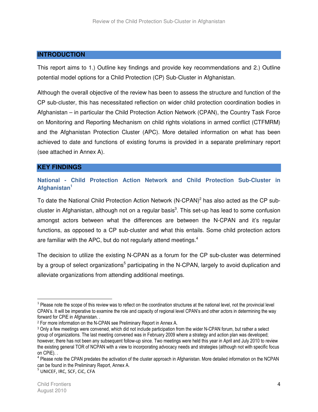#### **INTRODUCTION**

This report aims to 1.) Outline key findings and provide key recommendations and 2.) Outline potential model options for a Child Protection (CP) Sub-Cluster in Afghanistan.

Although the overall objective of the review has been to assess the structure and function of the CP sub-cluster, this has necessitated reflection on wider child protection coordination bodies in Afghanistan – in particular the Child Protection Action Network (CPAN), the Country Task Force on Monitoring and Reporting Mechanism on child rights violations in armed conflict (CTFMRM) and the Afghanistan Protection Cluster (APC). More detailed information on what has been achieved to date and functions of existing forums is provided in a separate preliminary report (see attached in Annex A).

#### **KEY FINDINGS**

**National - Child Protection Action Network and Child Protection Sub-Cluster in Afghanistan<sup>1</sup>**

To date the National Child Protection Action Network (N-CPAN)<sup>2</sup> has also acted as the CP subcluster in Afghanistan, although not on a regular basis<sup>3</sup>. This set-up has lead to some confusion amongst actors between what the differences are between the N-CPAN and it's regular functions, as opposed to a CP sub-cluster and what this entails. Some child protection actors are familiar with the APC, but do not regularly attend meetings.<sup>4</sup>

The decision to utilize the existing N-CPAN as a forum for the CP sub-cluster was determined by a group of select organizations<sup>5</sup> participating in the N-CPAN, largely to avoid duplication and alleviate organizations from attending additional meetings.

<sup>&</sup>lt;sup>1</sup> Please note the scope of this review was to reflect on the coordination structures at the national level, not the provincial level CPAN's. It will be imperative to examine the role and capacity of regional level CPAN's and other actors in determining the way forward for CPiE in Afghanistan. .

<sup>2</sup> For more information on the N-CPAN see Preliminary Report in Annex A.

<sup>3</sup> Only a few meetings were convened, which did not include participation from the wider N-CPAN forum, but rather a select group of organizations. The last meeting convened was in February 2009 where a strategy and action plan was developed; however, there has not been any subsequent follow-up since. Two meetings were held this year in April and July 2010 to review the existing general TOR of NCPAN with a view to incorporating advocacy needs and strategies (although not with specific focus on CPiE). .

<sup>&</sup>lt;sup>4</sup> Please note the CPAN predates the activation of the cluster approach in Afghanistan. More detailed information on the NCPAN can be found in the Preliminary Report, Annex A.

<sup>5</sup> UNICEF, IRC, SCF, CiC, CFA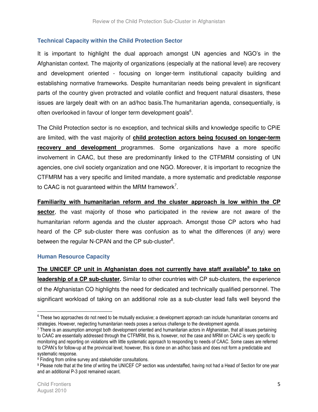### **Technical Capacity within the Child Protection Sector**

It is important to highlight the dual approach amongst UN agencies and NGO's in the Afghanistan context. The majority of organizations (especially at the national level) are recovery and development oriented - focusing on longer-term institutional capacity building and establishing normative frameworks. Despite humanitarian needs being prevalent in significant parts of the country given protracted and volatile conflict and frequent natural disasters, these issues are largely dealt with on an ad/hoc basis.The humanitarian agenda, consequentially, is often overlooked in favour of longer term development goals<sup>6</sup>.

The Child Protection sector is no exception, and technical skills and knowledge specific to CPiE are limited, with the vast majority of **child protection actors being focused on longer-term recovery and development** programmes. Some organizations have a more specific involvement in CAAC, but these are predominantly linked to the CTFMRM consisting of UN agencies, one civil society organization and one NGO. Moreover, it is important to recognize the CTFMRM has a very specific and limited mandate, a more systematic and predictable response to CAAC is not guaranteed within the MRM framework<sup>7</sup>.

**Familiarity with humanitarian reform and the cluster approach is low within the CP**  sector, the vast majority of those who participated in the review are not aware of the humanitarian reform agenda and the cluster approach. Amongst those CP actors who had heard of the CP sub-cluster there was confusion as to what the differences (if any) were between the regular N-CPAN and the CP sub-cluster $8$ .

#### **Human Resource Capacity**

The UNICEF CP unit in Afghanistan does not currently have staff available<sup>9</sup> to take on **leadership of a CP sub-cluster.** Similar to other countries with CP sub-clusters, the experience of the Afghanistan CO highlights the need for dedicated and technically qualified personnel. The significant workload of taking on an additional role as a sub-cluster lead falls well beyond the

 $\overline{a}$ 

<sup>&</sup>lt;sup>6</sup> These two approaches do not need to be mutually exclusive; a development approach can include humanitarian concerns and strategies. However, neglecting humanitarian needs poses a serious challenge to the development agenda.

<sup>7</sup> There is an assumption amongst both development oriented and humanitarian actors in Afghanistan, that all issues pertaining to CAAC are essentially addressed through the CTFMRM, this is, however, not the case and MRM on CAAC is very specific to monitoring and reporting on violations with little systematic approach to responding to needs of CAAC. Some cases are referred to CPAN's for follow-up at the provincial level; however, this is done on an ad/hoc basis and does not form a predictable and systematic response.

<sup>8</sup> Finding from online survey and stakeholder consultations.

<sup>&</sup>lt;sup>9</sup> Please note that at the time of writing the UNICEF CP section was understaffed, having not had a Head of Section for one year and an additional P-3 post remained vacant.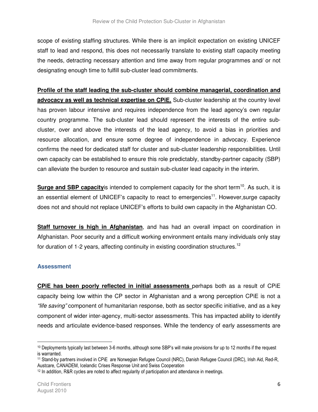scope of existing staffing structures. While there is an implicit expectation on existing UNICEF staff to lead and respond, this does not necessarily translate to existing staff capacity meeting the needs, detracting necessary attention and time away from regular programmes and/ or not designating enough time to fulfill sub-cluster lead commitments.

**Profile of the staff leading the sub-cluster should combine managerial, coordination and** advocacy as well as technical expertise on CPIE. Sub-cluster leadership at the country level has proven labour intensive and requires independence from the lead agency's own regular country programme. The sub-cluster lead should represent the interests of the entire subcluster, over and above the interests of the lead agency, to avoid a bias in priorities and resource allocation, and ensure some degree of independence in advocacy. Experience confirms the need for dedicated staff for cluster and sub-cluster leadership responsibilities. Until own capacity can be established to ensure this role predictably, standby-partner capacity (SBP) can alleviate the burden to resource and sustain sub-cluster lead capacity in the interim.

**Surge and SBP capacity** is intended to complement capacity for the short term<sup>10</sup>. As such, it is an essential element of UNICEF's capacity to react to emergencies<sup>11</sup>. However, surge capacity does not and should not replace UNICEF's efforts to build own capacity in the Afghanistan CO.

**Staff turnover is high in Afghanistan**, and has had an overall impact on coordination in Afghanistan. Poor security and a difficult working environment entails many individuals only stay for duration of 1-2 years, affecting continuity in existing coordination structures.<sup>12</sup>

### **Assessment**

**CPiE has been poorly reflected in initial assessments** perhaps both as a result of CPiE capacity being low within the CP sector in Afghanistan and a wrong perception CPiE is not a "life saving" component of humanitarian response, both as sector specific initiative, and as a key component of wider inter-agency, multi-sector assessments. This has impacted ability to identify needs and articulate evidence-based responses. While the tendency of early assessments are

 $\overline{a}$ 

<sup>10</sup> Deployments typically last between 3-6 months, although some SBP's will make provisions for up to 12 months if the request is warranted.

<sup>11</sup> Stand-by partners involved in CPiE are Norwegian Refugee Council (NRC), Danish Refugee Council (DRC), Irish Aid, Red-R, Austcare, CANADEM, Icelandic Crises Response Unit and Swiss Cooperation

<sup>12</sup> In addition, R&R cycles are noted to affect regularity of participation and attendance in meetings.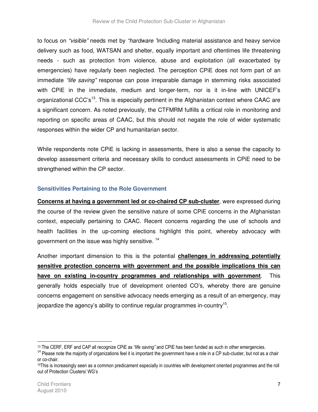to focus on "visible" needs met by "hardware "including material assistance and heavy service delivery such as food, WATSAN and shelter, equally important and oftentimes life threatening needs - such as protection from violence, abuse and exploitation (all exacerbated by emergencies) have regularly been neglected. The perception CPiE does not form part of an immediate "life saving" response can pose irreparable damage in stemming risks associated with CPiE in the immediate, medium and longer-term, nor is it in-line with UNICEF's organizational CCC's<sup>13</sup>. This is especially pertinent in the Afghanistan context where CAAC are a significant concern. As noted previously, the CTFMRM fulfills a critical role in monitoring and reporting on specific areas of CAAC, but this should not negate the role of wider systematic responses within the wider CP and humanitarian sector.

While respondents note CPiE is lacking in assessments, there is also a sense the capacity to develop assessment criteria and necessary skills to conduct assessments in CPiE need to be strengthened within the CP sector.

#### **Sensitivities Pertaining to the Role Government**

**Concerns at having a government led or co-chaired CP sub-cluster**, were expressed during the course of the review given the sensitive nature of some CPiE concerns in the Afghanistan context, especially pertaining to CAAC. Recent concerns regarding the use of schools and health facilities in the up-coming elections highlight this point, whereby advocacy with government on the issue was highly sensitive.<sup>14</sup>

Another important dimension to this is the potential **challenges in addressing potentially sensitive protection concerns with government and the possible implications this can have on existing in-country programmes and relationships with government**. This generally holds especially true of development oriented CO's, whereby there are genuine concerns engagement on sensitive advocacy needs emerging as a result of an emergency, may jeopardize the agency's ability to continue regular programmes in-country<sup>15</sup>.

<sup>&</sup>lt;sup>13</sup> The CERF, ERF and CAP all recognize CPiE as "life saving" and CPiE has been funded as such in other emergencies.

<sup>&</sup>lt;sup>14</sup> Please note the majority of organizations feel it is important the government have a role in a CP sub-cluster, but not as a chair or co-chair.

<sup>15</sup>This is increasingly seen as a common predicament especially in countries with development oriented programmes and the roll out of Protection Clusters/ WG's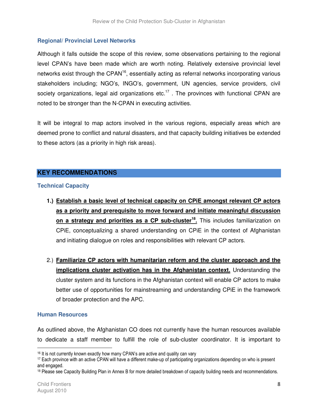## **Regional/ Provincial Level Networks**

Although it falls outside the scope of this review, some observations pertaining to the regional level CPAN's have been made which are worth noting. Relatively extensive provincial level networks exist through the CPAN<sup>16</sup>, essentially acting as referral networks incorporating various stakeholders including; NGO's, INGO's, government, UN agencies, service providers, civil society organizations, legal aid organizations etc.<sup>17</sup>. The provinces with functional CPAN are noted to be stronger than the N-CPAN in executing activities.

It will be integral to map actors involved in the various regions, especially areas which are deemed prone to conflict and natural disasters, and that capacity building initiatives be extended to these actors (as a priority in high risk areas).

## **KEY RECOMMENDATIONS**

#### **Technical Capacity**

- **1.) Establish a basic level of technical capacity on CPiE amongst relevant CP actors as a priority and prerequisite to move forward and initiate meaningful discussion on a strategy and priorities as a CP sub-cluster<sup>18</sup> .** This includes familiarization on CPiE, conceptualizing a shared understanding on CPiE in the context of Afghanistan and initiating dialogue on roles and responsibilities with relevant CP actors.
- 2.) **Familiarize CP actors with humanitarian reform and the cluster approach and the implications cluster activation has in the Afghanistan context.** Understanding the cluster system and its functions in the Afghanistan context will enable CP actors to make better use of opportunities for mainstreaming and understanding CPiE in the framework of broader protection and the APC.

#### **Human Resources**

As outlined above, the Afghanistan CO does not currently have the human resources available to dedicate a staff member to fulfill the role of sub-cluster coordinator. It is important to

<sup>&</sup>lt;sup>16</sup> It is not currently known exactly how many CPAN's are active and quality can vary

<sup>17</sup> Each province with an active CPAN will have a different make-up of participating organizations depending on who is present and engaged.

<sup>&</sup>lt;sup>18</sup> Please see Capacity Building Plan in Annex B for more detailed breakdown of capacity building needs and recommendations.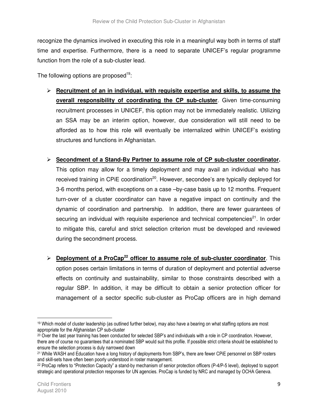recognize the dynamics involved in executing this role in a meaningful way both in terms of staff time and expertise. Furthermore, there is a need to separate UNICEF's regular programme function from the role of a sub-cluster lead.

The following options are proposed<sup>19</sup>:

 **Recruitment of an in individual, with requisite expertise and skills, to assume the overall responsibility of coordinating the CP sub-cluster**. Given time-consuming recruitment processes in UNICEF, this option may not be immediately realistic. Utilizing an SSA may be an interim option, however, due consideration will still need to be afforded as to how this role will eventually be internalized within UNICEF's existing structures and functions in Afghanistan.

### **Secondment of a Stand-By Partner to assume role of CP sub-cluster coordinator.**

This option may allow for a timely deployment and may avail an individual who has received training in CPIE coordination<sup>20</sup>. However, secondee's are typically deployed for 3-6 months period, with exceptions on a case –by-case basis up to 12 months. Frequent turn-over of a cluster coordinator can have a negative impact on continuity and the dynamic of coordination and partnership. In addition, there are fewer guarantees of securing an individual with requisite experience and technical competencies<sup>21</sup>. In order to mitigate this, careful and strict selection criterion must be developed and reviewed during the secondment process.

 **Deployment of a ProCap<sup>22</sup> officer to assume role of sub-cluster coordinator**. This option poses certain limitations in terms of duration of deployment and potential adverse effects on continuity and sustainability, similar to those constraints described with a regular SBP. In addition, it may be difficult to obtain a senior protection officer for management of a sector specific sub-cluster as ProCap officers are in high demand

 $\overline{a}$ 

<sup>19</sup> Which model of cluster leadership (as outlined further below), may also have a bearing on what staffing options are most appropriate for the Afghanistan CP sub-cluster

<sup>20</sup> Over the last year training has been conducted for selected SBP's and individuals with a role in CP coordination. However, there are of course no guarantees that a nominated SBP would suit this profile. If possible strict criteria should be established to ensure the selection process is duly narrowed down

<sup>21</sup> While WASH and Education have a long history of deployments from SBP's, there are fewer CPiE personnel on SBP rosters and skill-sets have often been poorly understood in roster management.

<sup>22</sup> ProCap refers to "Protection Capacity" a stand-by mechanism of senior protection officers (P-4/P-5 level), deployed to support strategic and operational protection responses for UN agencies. ProCap is funded by NRC and managed by OCHA Geneva.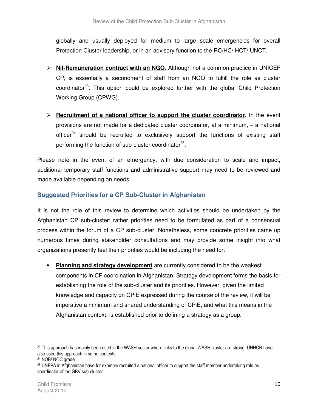globally and usually deployed for medium to large scale emergencies for overall Protection Cluster leadership, or in an advisory function to the RC/HC/ HCT/ UNCT.

- **Nil-Remuneration contract with an NGO.** Although not a common practice in UNICEF CP, is essentially a secondment of staff from an NGO to fulfill the role as cluster coordinator<sup>23</sup>. This option could be explored further with the global Child Protection Working Group (CPWG).
- **Recruitment of a national officer to support the cluster coordinator.** In the event provisions are not made for a dedicated cluster coordinator, at a minimum, – a national officer $24$  should be recruited to exclusively support the functions of existing staff performing the function of sub-cluster coordinator<sup>25</sup>.

Please note in the event of an emergency, with due consideration to scale and impact, additional temporary staff functions and administrative support may need to be reviewed and made available depending on needs.

## **Suggested Priorities for a CP Sub-Cluster in Afghanistan**

It is not the role of this review to determine which activities should be undertaken by the Afghanistan CP sub-cluster; rather priorities need to be formulated as part of a consensual process within the forum of a CP sub-cluster. Nonetheless, some concrete priorities came up numerous times during stakeholder consultations and may provide some insight into what organizations presently feel their priorities would be including the need for:

• **Planning and strategy development** are currently considered to be the weakest components in CP coordination in Afghanistan. Strategy development forms the basis for establishing the role of the sub-cluster and its priorities. However, given the limited knowledge and capacity on CPiE expressed during the course of the review, it will be imperative a minimum and shared understanding of CPiE, and what this means in the Afghanistan context, is established prior to defining a strategy as a group.

 $\overline{a}$ 

<sup>&</sup>lt;sup>23</sup> This approach has mainly been used in the WASH sector where links to the global WASH cluster are strong, UNHCR have also used this approach in some contexts

<sup>24</sup> NOB/ NOC grade

<sup>25</sup> UNFPA in Afghanistan have for example recruited a national officer to support the staff member undertaking role as coordinator of the GBV sub-cluster.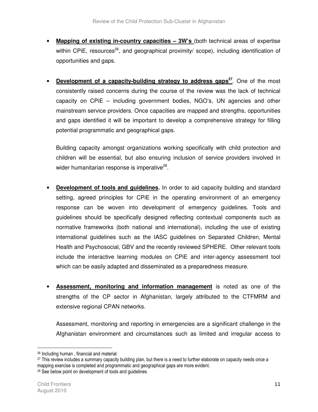- **Mapping of existing in-country capacities 3W's** (both technical areas of expertise within CPiE, resources<sup>26</sup>, and geographical proximity/ scope), including identification of opportunities and gaps.
- **Development of a capacity-building strategy to address gaps<sup>27</sup>. One of the most** consistently raised concerns during the course of the review was the lack of technical capacity on CPiE – including government bodies, NGO's, UN agencies and other mainstream service providers. Once capacities are mapped and strengths, opportunities and gaps identified it will be important to develop a comprehensive strategy for filling potential programmatic and geographical gaps.

Building capacity amongst organizations working specifically with child protection and children will be essential, but also ensuring inclusion of service providers involved in wider humanitarian response is imperative<sup>28</sup>.

- **Development of tools and guidelines.** In order to aid capacity building and standard setting, agreed principles for CPiE in the operating environment of an emergency response can be woven into development of emergency guidelines. Tools and guidelines should be specifically designed reflecting contextual components such as normative frameworks (both national and international), including the use of existing international guidelines such as the IASC guidelines on Separated Children, Mental Health and Psychosocial, GBV and the recently reviewed SPHERE. Other relevant tools include the interactive learning modules on CPiE and inter-agency assessment tool which can be easily adapted and disseminated as a preparedness measure.
- **Assessment, monitoring and information management** is noted as one of the strengths of the CP sector in Afghanistan, largely attributed to the CTFMRM and extensive regional CPAN networks.

Assessment, monitoring and reporting in emergencies are a significant challenge in the Afghanistan environment and circumstances such as limited and irregular access to

<sup>26</sup> Including human , financial and material

<sup>27</sup> This review includes a summary capacity building plan, but there is a need to further elaborate on capacity needs once a mapping exercise is completed and programmatic and geographical gaps are more evident.

<sup>28</sup> See below point on development of tools and guidelines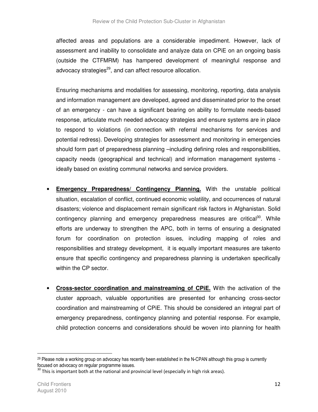affected areas and populations are a considerable impediment. However, lack of assessment and inability to consolidate and analyze data on CPiE on an ongoing basis (outside the CTFMRM) has hampered development of meaningful response and advocacy strategies<sup>29</sup>, and can affect resource allocation.

Ensuring mechanisms and modalities for assessing, monitoring, reporting, data analysis and information management are developed, agreed and disseminated prior to the onset of an emergency - can have a significant bearing on ability to formulate needs-based response, articulate much needed advocacy strategies and ensure systems are in place to respond to violations (in connection with referral mechanisms for services and potential redress). Developing strategies for assessment and monitoring in emergencies should form part of preparedness planning –including defining roles and responsibilities, capacity needs (geographical and technical) and information management systems ideally based on existing communal networks and service providers.

- **Emergency Preparedness/ Contingency Planning.** With the unstable political situation, escalation of conflict, continued economic volatility, and occurrences of natural disasters; violence and displacement remain significant risk factors in Afghanistan. Solid contingency planning and emergency preparedness measures are critical<sup>30</sup>. While efforts are underway to strengthen the APC, both in terms of ensuring a designated forum for coordination on protection issues, including mapping of roles and responsibilities and strategy development, it is equally important measures are takento ensure that specific contingency and preparedness planning is undertaken specifically within the CP sector.
- **Cross-sector coordination and mainstreaming of CPiE.** With the activation of the cluster approach, valuable opportunities are presented for enhancing cross-sector coordination and mainstreaming of CPiE. This should be considered an integral part of emergency preparedness, contingency planning and potential response. For example, child protection concerns and considerations should be woven into planning for health

 $29$  Please note a working group on advocacy has recently been established in the N-CPAN although this group is currently focused on advocacy on regular programme issues.

 $30$  This is important both at the national and provincial level (especially in high risk areas).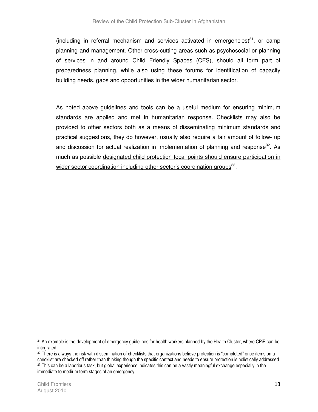(including in referral mechanism and services activated in emergencies) $31$ , or camp planning and management. Other cross-cutting areas such as psychosocial or planning of services in and around Child Friendly Spaces (CFS), should all form part of preparedness planning, while also using these forums for identification of capacity building needs, gaps and opportunities in the wider humanitarian sector.

As noted above guidelines and tools can be a useful medium for ensuring minimum standards are applied and met in humanitarian response. Checklists may also be provided to other sectors both as a means of disseminating minimum standards and practical suggestions, they do however, usually also require a fair amount of follow- up and discussion for actual realization in implementation of planning and response<sup>32</sup>. As much as possible designated child protection focal points should ensure participation in wider sector coordination including other sector's coordination groups<sup>33</sup>.

 $\overline{\phantom{a}}$ 

<sup>&</sup>lt;sup>31</sup> An example is the development of emergency quidelines for health workers planned by the Health Cluster, where CPiE can be integrated

<sup>&</sup>lt;sup>32</sup> There is always the risk with dissemination of checklists that organizations believe protection is "completed" once items on a checklist are checked off rather than thinking though the specific context and needs to ensure protection is holistically addressed. <sup>33</sup> This can be a laborious task, but global experience indicates this can be a vastly meaningful exchange especially in the immediate to medium term stages of an emergency.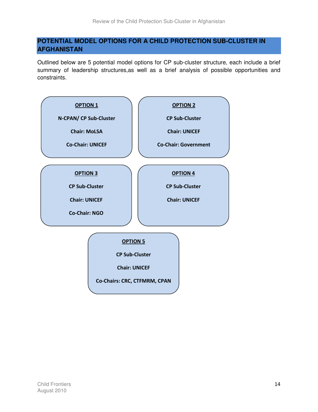## **POTENTIAL MODEL OPTIONS FOR A CHILD PROTECTION SUB-CLUSTER IN AFGHANISTAN**

Outlined below are 5 potential model options for CP sub-cluster structure, each include a brief summary of leadership structures,as well as a brief analysis of possible opportunities and constraints.

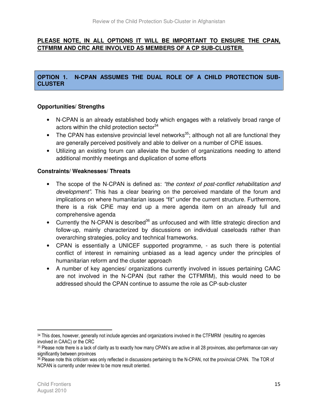## **PLEASE NOTE, IN ALL OPTIONS IT WILL BE IMPORTANT TO ENSURE THE CPAN, CTFMRM AND CRC ARE INVOLVED AS MEMBERS OF A CP SUB-CLUSTER.**

## **OPTION 1. N-CPAN ASSUMES THE DUAL ROLE OF A CHILD PROTECTION SUB-CLUSTER**

## **Opportunities/ Strengths**

- N-CPAN is an already established body which engages with a relatively broad range of actors within the child protection sector<sup>34</sup>
- The CPAN has extensive provincial level networks<sup>35</sup>; although not all are functional they are generally perceived positively and able to deliver on a number of CPiE issues.
- Utilizing an existing forum can alleviate the burden of organizations needing to attend additional monthly meetings and duplication of some efforts

## **Constraints/ Weaknesses/ Threats**

- The scope of the N-CPAN is defined as: "the context of post-conflict rehabilitation and development". This has a clear bearing on the perceived mandate of the forum and implications on where humanitarian issues "fit" under the current structure. Furthermore, there is a risk CPiE may end up a mere agenda item on an already full and comprehensive agenda
- Currently the N-CPAN is described<sup>36</sup> as unfocused and with little strategic direction and follow-up, mainly characterized by discussions on individual caseloads rather than overarching strategies, policy and technical frameworks.
- CPAN is essentially a UNICEF supported programme, as such there is potential conflict of interest in remaining unbiased as a lead agency under the principles of humanitarian reform and the cluster approach
- A number of key agencies/ organizations currently involved in issues pertaining CAAC are not involved in the N-CPAN (but rather the CTFMRM), this would need to be addressed should the CPAN continue to assume the role as CP-sub-cluster

 $\overline{a}$ 

<sup>34</sup> This does, however, generally not include agencies and organizations involved in the CTFMRM (resulting no agencies involved in CAAC) or the CRC

<sup>35</sup> Please note there is a lack of clarity as to exactly how many CPAN's are active in all 28 provinces, also performance can vary significantly between provinces

<sup>36</sup> Please note this criticism was only reflected in discussions pertaining to the N-CPAN, not the provincial CPAN. The TOR of NCPAN is currently under review to be more result oriented.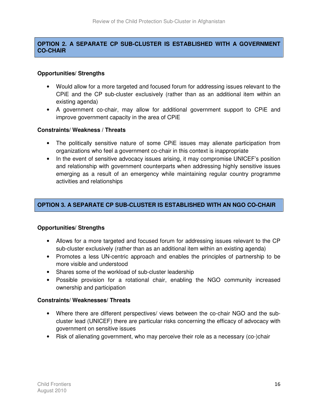## **OPTION 2. A SEPARATE CP SUB-CLUSTER IS ESTABLISHED WITH A GOVERNMENT CO-CHAIR**

#### **Opportunities/ Strengths**

- Would allow for a more targeted and focused forum for addressing issues relevant to the CPiE and the CP sub-cluster exclusively (rather than as an additional item within an existing agenda)
- A government co-chair, may allow for additional government support to CPiE and improve government capacity in the area of CPiE

#### **Constraints/ Weakness / Threats**

- The politically sensitive nature of some CPiE issues may alienate participation from organizations who feel a government co-chair in this context is inappropriate
- In the event of sensitive advocacy issues arising, it may compromise UNICEF's position and relationship with government counterparts when addressing highly sensitive issues emerging as a result of an emergency while maintaining regular country programme activities and relationships

## **OPTION 3. A SEPARATE CP SUB-CLUSTER IS ESTABLISHED WITH AN NGO CO-CHAIR**

### **Opportunities/ Strengths**

- Allows for a more targeted and focused forum for addressing issues relevant to the CP sub-cluster exclusively (rather than as an additional item within an existing agenda)
- Promotes a less UN-centric approach and enables the principles of partnership to be more visible and understood
- Shares some of the workload of sub-cluster leadership
- Possible provision for a rotational chair, enabling the NGO community increased ownership and participation

#### **Constraints/ Weaknesses/ Threats**

- Where there are different perspectives/ views between the co-chair NGO and the subcluster lead (UNICEF) there are particular risks concerning the efficacy of advocacy with government on sensitive issues
- Risk of alienating government, who may perceive their role as a necessary (co-)chair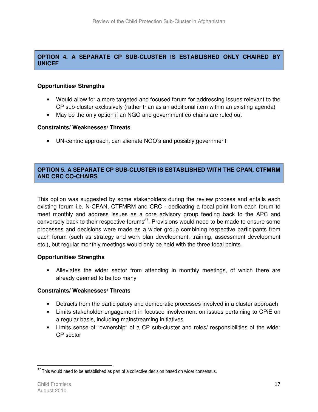## **OPTION 4. A SEPARATE CP SUB-CLUSTER IS ESTABLISHED ONLY CHAIRED BY UNICEF**

#### **Opportunities/ Strengths**

- Would allow for a more targeted and focused forum for addressing issues relevant to the CP sub-cluster exclusively (rather than as an additional item within an existing agenda)
- May be the only option if an NGO and government co-chairs are ruled out

#### **Constraints/ Weaknesses/ Threats**

• UN-centric approach, can alienate NGO's and possibly government

#### **OPTION 5. A SEPARATE CP SUB-CLUSTER IS ESTABLISHED WITH THE CPAN, CTFMRM AND CRC CO-CHAIRS**

This option was suggested by some stakeholders during the review process and entails each existing forum i.e. N-CPAN, CTFMRM and CRC - dedicating a focal point from each forum to meet monthly and address issues as a core advisory group feeding back to the APC and conversely back to their respective forums<sup>37</sup>. Provisions would need to be made to ensure some processes and decisions were made as a wider group combining respective participants from each forum (such as strategy and work plan development, training, assessment development etc.), but regular monthly meetings would only be held with the three focal points.

#### **Opportunities/ Strengths**

• Alleviates the wider sector from attending in monthly meetings, of which there are already deemed to be too many

#### **Constraints/ Weaknesses/ Threats**

- Detracts from the participatory and democratic processes involved in a cluster approach
- Limits stakeholder engagement in focused involvement on issues pertaining to CPiE on a regular basis, including mainstreaming initiatives
- Limits sense of "ownership" of a CP sub-cluster and roles/ responsibilities of the wider CP sector

 $\overline{\phantom{a}}$ 

 $37$  This would need to be established as part of a collective decision based on wider consensus.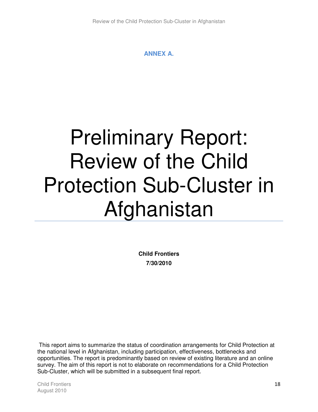## **ANNEX A.**

# Preliminary Report: Review of the Child Protection Sub-Cluster in Afghanistan

**Child Frontiers 7/30/2010** 

 This report aims to summarize the status of coordination arrangements for Child Protection at the national level in Afghanistan, including participation, effectiveness, bottlenecks and opportunities. The report is predominantly based on review of existing literature and an online survey. The aim of this report is not to elaborate on recommendations for a Child Protection Sub-Cluster, which will be submitted in a subsequent final report.

Child Frontiers 2018 18 August 2010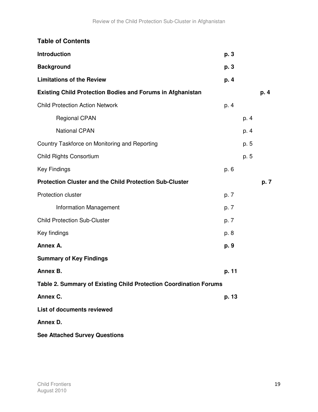| <b>Table of Contents</b>                                          |       |      |      |
|-------------------------------------------------------------------|-------|------|------|
| Introduction                                                      | p. 3  |      |      |
| <b>Background</b>                                                 | p. 3  |      |      |
| <b>Limitations of the Review</b>                                  | p. 4  |      |      |
| <b>Existing Child Protection Bodies and Forums in Afghanistan</b> |       |      | p. 4 |
| <b>Child Protection Action Network</b>                            | p. 4  |      |      |
| <b>Regional CPAN</b>                                              |       | p. 4 |      |
| <b>National CPAN</b>                                              |       | p. 4 |      |
| Country Taskforce on Monitoring and Reporting                     |       | p. 5 |      |
| <b>Child Rights Consortium</b>                                    |       | p. 5 |      |
| <b>Key Findings</b>                                               | p. 6  |      |      |
| <b>Protection Cluster and the Child Protection Sub-Cluster</b>    |       |      | p. 7 |
| Protection cluster                                                | p. 7  |      |      |
| Information Management                                            | p. 7  |      |      |
| <b>Child Protection Sub-Cluster</b>                               | p. 7  |      |      |
| Key findings                                                      | p. 8  |      |      |
| Annex A.                                                          | p. 9  |      |      |
| <b>Summary of Key Findings</b>                                    |       |      |      |
| Annex B.                                                          | p. 11 |      |      |
| Table 2. Summary of Existing Child Protection Coordination Forums |       |      |      |
| Annex C.                                                          | p. 13 |      |      |
| List of documents reviewed                                        |       |      |      |
| Annex D.                                                          |       |      |      |
| <b>See Attached Survey Questions</b>                              |       |      |      |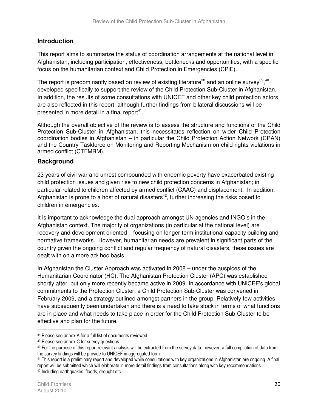## **Introduction**

This report aims to summarize the status of coordination arrangements at the national level in Afghanistan, including participation, effectiveness, bottlenecks and opportunities, with a specific focus on the humanitarian context and Child Protection in Emergencies (CPiE).

The report is predominantly based on review of existing literature<sup>38</sup> and an online survey<sup>39</sup>,<sup>40</sup> developed specifically to support the review of the Child Protection Sub-Cluster in Afghanistan. In addition, the results of some consultations with UNICEF and other key child protection actors are also reflected in this report, although further findings from bilateral discussions will be presented in more detail in a final report<sup>41</sup>.

Although the overall objective of the review is to assess the structure and functions of the Child Protection Sub-Cluster in Afghanistan, this necessitates reflection on wider Child Protection coordination bodies in Afghanistan – in particular the Child Protection Action Network (CPAN) and the Country Taskforce on Monitoring and Reporting Mechanism on child rights violations in armed conflict (CTFMRM).

## **Background**

23 years of civil war and unrest compounded with endemic poverty have exacerbated existing child protection issues and given rise to new child protection concerns in Afghanistan; in particular related to children affected by armed conflict (CAAC) and displacement. In addition, Afghanistan is prone to a host of natural disasters<sup>42</sup>, further increasing the risks posed to children in emergencies.

It is important to acknowledge the dual approach amongst UN agencies and INGO's in the Afghanistan context. The majority of organizations (in particular at the national level) are recovery and development oriented – focusing on longer-term institutional capacity building and normative frameworks. However, humanitarian needs are prevalent in significant parts of the country given the ongoing conflict and regular frequency of natural disasters, these issues are dealt with on a more ad/ hoc basis.

In Afghanistan the Cluster Approach was activated in 2008 – under the auspices of the Humanitarian Coordinator (HC). The Afghanistan Protection Cluster (APC) was established shortly after, but only more recently became active in 2009. In accordance with UNICEF's global commitments to the Protection Cluster, a Child Protection Sub-Cluster was convened in February 2009, and a strategy outlined amongst partners in the group. Relatively few activities have subsequently been undertaken and there is a need to take stock in terms of what functions are in place and what needs to take place in order for the Child Protection Sub-Cluster to be effective and plan for the future.

<sup>38</sup> Please see annex A for a full list of documents reviewed

<sup>39</sup> Please see annex C for survey questions

<sup>40</sup> For the purpose of this report relevant analysis will be extracted from the survey data, however, a full compilation of data from the survey findings will be provide to UNICEF in aggregated form.

<sup>41</sup> This report is a preliminary report and developed while consultations with key organizations in Afghanistan are ongoing. A final report will be submitted which will elaborate in more detail findings from consultations along with key recommendations 42 Including earthquakes, floods, drought etc.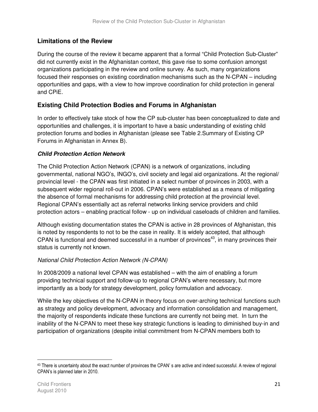## **Limitations of the Review**

During the course of the review it became apparent that a formal "Child Protection Sub-Cluster" did not currently exist in the Afghanistan context, this gave rise to some confusion amongst organizations participating in the review and online survey. As such, many organizations focused their responses on existing coordination mechanisms such as the N-CPAN – including opportunities and gaps, with a view to how improve coordination for child protection in general and CPiE.

## **Existing Child Protection Bodies and Forums in Afghanistan**

In order to effectively take stock of how the CP sub-cluster has been conceptualized to date and opportunities and challenges, it is important to have a basic understanding of existing child protection forums and bodies in Afghanistan (please see Table 2.Summary of Existing CP Forums in Afghanistan in Annex B).

## **Child Protection Action Network**

The Child Protection Action Network (CPAN) is a network of organizations, including governmental, national NGO's, INGO's, civil society and legal aid organizations. At the regional/ provincial level - the CPAN was first initiated in a select number of provinces in 2003, with a subsequent wider regional roll-out in 2006. CPAN's were established as a means of mitigating the absence of formal mechanisms for addressing child protection at the provincial level. Regional CPAN's essentially act as referral networks linking service providers and child protection actors – enabling practical follow - up on individual caseloads of children and families.

Although existing documentation states the CPAN is active in 28 provinces of Afghanistan, this is noted by respondents to not to be the case in reality. It is widely accepted, that although CPAN is functional and deemed successful in a number of provinces<sup>43</sup>, in many provinces their status is currently not known.

### National Child Protection Action Network (N-CPAN)

In 2008/2009 a national level CPAN was established – with the aim of enabling a forum providing technical support and follow-up to regional CPAN's where necessary, but more importantly as a body for strategy development, policy formulation and advocacy.

While the key objectives of the N-CPAN in theory focus on over-arching technical functions such as strategy and policy development, advocacy and information consolidation and management, the majority of respondents indicate these functions are currently not being met. In turn the inability of the N-CPAN to meet these key strategic functions is leading to diminished buy-in and participation of organizations (despite initial commitment from N-CPAN members both to

<sup>43</sup> There is uncertainty about the exact number of provinces the CPAN's are active and indeed successful. A review of regional CPAN's is planned later in 2010.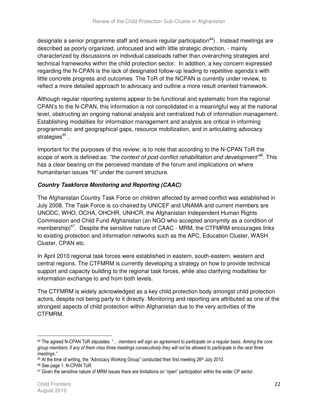designate a senior programme staff and ensure regular participation<sup>44</sup>). Instead meetings are described as poorly organized, unfocused and with little strategic direction, - mainly characterized by discussions on individual caseloads rather than overarching strategies and technical frameworks within the child protection sector. In addition, a key concern expressed regarding the N-CPAN is the lack of designated follow-up leading to repetitive agenda's with little concrete progress and outcomes. The ToR of the NCPAN is currently under review, to reflect a more detailed approach to advocacy and outline a more result oriented framework.

Although regular reporting systems appear to be functional and systematic from the regional CPAN's to the N-CPAN, this information is not consolidated in a meaningful way at the national level, obstructing an ongoing national analysis and centralized hub of information management. Establishing modalities for information management and analysis are critical in informing programmatic and geographical gaps, resource mobilization, and in articulating advocacy strategies<sup>45</sup> .

Important for the purposes of this review; is to note that according to the N-CPAN ToR the scope of work is defined as: "the context of post-conflict rehabilitation and development"<sup>46</sup>. This has a clear bearing on the perceived mandate of the forum and implications on where humanitarian issues "fit" under the current structure.

## **Country Taskforce Monitoring and Reporting (CAAC)**

The Afghanistan Country Task Force on children affected by armed conflict was established in July 2008. The Task Force is co-chaired by UNICEF and UNAMA and current members are UNODC, WHO, OCHA, OHCHR, UNHCR, the Afghanistan Independent Human Rights Commission and Child Fund Afghanistan (an NGO who accepted anonymity as a condition of membership)<sup>47</sup>. Despite the sensitive nature of CAAC - MRM, the CTFMRM encourages links to existing protection and information networks such as the APC, Education Cluster, WASH Cluster, CPAN etc.

In April 2010 regional task forces were established in eastern, south-eastern, western and central regions. The CTFMRM is currently developing a strategy on how to provide technical support and capacity building to the regional task forces, while also clarifying modalities for information exchange to and from both levels.

The CTFMRM is widely acknowledged as a key child protection body amongst child protection actors, despite not being party to it directly. Monitoring and reporting are attributed as one of the strongest aspects of child protection within Afghanistan due to the very activities of the CTFMRM.

 $\overline{\phantom{a}}$ 

<sup>44</sup> The agreed N-CPAN ToR stipulates: "... members will sign an agreement to participate on a regular basis. Aiming the core group members, if any of them miss three meetings consecutively they will not be allowed to participate in the next three meetings."

<sup>45</sup> At the time of writing, the "Advocacy Working Group" conducted their first meeting 26<sup>th</sup> July 2010.

<sup>46</sup> See page 1. N-CPAN ToR

<sup>47</sup> Given the sensitive nature of MRM issues there are limitations on "open" participation within the wider CP sector.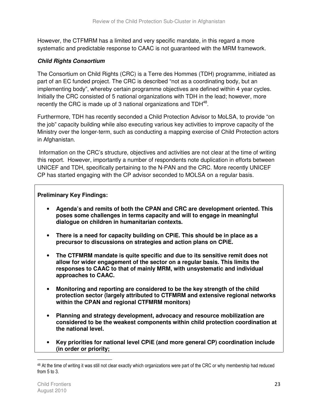However, the CTFMRM has a limited and very specific mandate, in this regard a more systematic and predictable response to CAAC is not guaranteed with the MRM framework.

## **Child Rights Consortium**

The Consortium on Child Rights (CRC) is a Terre des Hommes (TDH) programme, initiated as part of an EC funded project. The CRC is described "not as a coordinating body, but an implementing body", whereby certain programme objectives are defined within 4 year cycles. Initially the CRC consisted of 5 national organizations with TDH in the lead; however, more recently the CRC is made up of 3 national organizations and  $TDH^{48}$ .

Furthermore, TDH has recently seconded a Child Protection Advisor to MoLSA, to provide "on the job" capacity building while also executing various key activities to improve capacity of the Ministry over the longer-term, such as conducting a mapping exercise of Child Protection actors in Afghanistan.

 Information on the CRC's structure, objectives and activities are not clear at the time of writing this report. However, importantly a number of respondents note duplication in efforts between UNICEF and TDH, specifically pertaining to the N-PAN and the CRC. More recently UNICEF CP has started engaging with the CP advisor seconded to MOLSA on a regular basis.

## **Preliminary Key Findings:**

- **Agenda's and remits of both the CPAN and CRC are development oriented. This poses some challenges in terms capacity and will to engage in meaningful dialogue on children in humanitarian contexts.**
- **There is a need for capacity building on CPiE. This should be in place as a precursor to discussions on strategies and action plans on CPiE.**
- **The CTFMRM mandate is quite specific and due to its sensitive remit does not allow for wider engagement of the sector on a regular basis. This limits the responses to CAAC to that of mainly MRM, with unsystematic and individual approaches to CAAC.**
- **Monitoring and reporting are considered to be the key strength of the child protection sector (largely attributed to CTFMRM and extensive regional networks within the CPAN and regional CTFMRM monitors)**
- **Planning and strategy development, advocacy and resource mobilization are considered to be the weakest components within child protection coordination at the national level.**
- **Key priorities for national level CPiE (and more general CP) coordination include (in order or priority;**

<sup>&</sup>lt;sup>48</sup> At the time of writing it was still not clear exactly which organizations were part of the CRC or why membership had reduced from 5 to 3.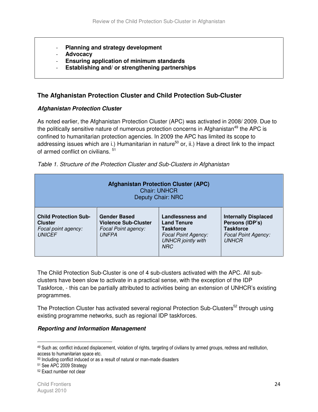- **Planning and strategy development**
- **Advocacy**
- **Ensuring application of minimum standards**
- Establishing and/ or strengthening partnerships

## **The Afghanistan Protection Cluster and Child Protection Sub-Cluster**

#### **Afghanistan Protection Cluster**

As noted earlier, the Afghanistan Protection Cluster (APC) was activated in 2008/ 2009. Due to the politically sensitive nature of numerous protection concerns in Afghanistan<sup>49</sup> the APC is confined to humanitarian protection agencies. In 2009 the APC has limited its scope to addressing issues which are i.) Humanitarian in nature<sup>50</sup> or, ii.) Have a direct link to the impact of armed conflict on civilians. <sup>51</sup>

| <b>Afghanistan Protection Cluster (APC)</b><br><b>Chair: UNHCR</b><br><b>Deputy Chair: NRC</b> |                                                                                           |                                                                                                                                     |                                                                                                                  |  |
|------------------------------------------------------------------------------------------------|-------------------------------------------------------------------------------------------|-------------------------------------------------------------------------------------------------------------------------------------|------------------------------------------------------------------------------------------------------------------|--|
| <b>Child Protection Sub-</b><br><b>Cluster</b><br>Focal point agency:<br><b>UNICEF</b>         | <b>Gender Based</b><br><b>Violence Sub-Cluster</b><br>Focal Point agency:<br><b>UNFPA</b> | <b>Landlessness and</b><br><b>Land Tenure</b><br>Taskforce<br><b>Focal Point Agency:</b><br><b>UNHCR</b> jointly with<br><b>NRC</b> | <b>Internally Displaced</b><br>Persons (IDP's)<br><b>Taskforce</b><br><b>Focal Point Agency:</b><br><b>UNHCR</b> |  |

Table 1. Structure of the Protection Cluster and Sub-Clusters in Afghanistan

The Child Protection Sub-Cluster is one of 4 sub-clusters activated with the APC. All subclusters have been slow to activate in a practical sense, with the exception of the IDP Taskforce, - this can be partially attributed to activities being an extension of UNHCR's existing programmes.

The Protection Cluster has activated several regional Protection Sub-Clusters<sup>52</sup> through using existing programme networks, such as regional IDP taskforces.

#### **Reporting and Information Management**

<sup>49</sup> Such as; conflict induced displacement, violation of rights, targeting of civilians by armed groups, redress and restitution, access to humanitarian space etc.

<sup>50</sup> Including conflict induced or as a result of natural or man-made disasters

<sup>51</sup> See APC 2009 Strategy

<sup>52</sup> Exact number not clear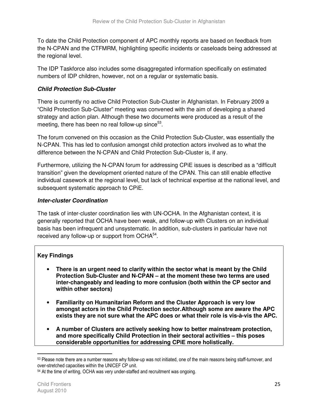To date the Child Protection component of APC monthly reports are based on feedback from the N-CPAN and the CTFMRM, highlighting specific incidents or caseloads being addressed at the regional level.

The IDP Taskforce also includes some disaggregated information specifically on estimated numbers of IDP children, however, not on a regular or systematic basis.

## **Child Protection Sub-Cluster**

There is currently no active Child Protection Sub-Cluster in Afghanistan. In February 2009 a "Child Protection Sub-Cluster" meeting was convened with the aim of developing a shared strategy and action plan. Although these two documents were produced as a result of the meeting, there has been no real follow-up since $53$ .

The forum convened on this occasion as the Child Protection Sub-Cluster, was essentially the N-CPAN. This has led to confusion amongst child protection actors involved as to what the difference between the N-CPAN and Child Protection Sub-Cluster is, if any.

Furthermore, utilizing the N-CPAN forum for addressing CPiE issues is described as a "difficult transition" given the development oriented nature of the CPAN. This can still enable effective individual casework at the regional level, but lack of technical expertise at the national level, and subsequent systematic approach to CPiE.

## **Inter-cluster Coordination**

The task of inter-cluster coordination lies with UN-OCHA. In the Afghanistan context, it is generally reported that OCHA have been weak, and follow-up with Clusters on an individual basis has been infrequent and unsystematic. In addition, sub-clusters in particular have not received any follow-up or support from OCHA<sup>54</sup>.

## **Key Findings**

- **There is an urgent need to clarify within the sector what is meant by the Child Protection Sub-Cluster and N-CPAN – at the moment these two terms are used inter-changeably and leading to more confusion (both within the CP sector and within other sectors)**
- **Familiarity on Humanitarian Reform and the Cluster Approach is very low amongst actors in the Child Protection sector.Although some are aware the APC exists they are not sure what the APC does or what their role is vis-à-vis the APC.**
- **A number of Clusters are actively seeking how to better mainstream protection, and more specifically Child Protection in their sectoral activities – this poses considerable opportunities for addressing CPiE more holistically.**

<sup>53</sup> Please note there are a number reasons why follow-up was not initiated, one of the main reasons being staff-turnover, and over-stretched capacities within the UNICEF CP unit.

<sup>54</sup> At the time of writing, OCHA was very under-staffed and recruitment was ongoing.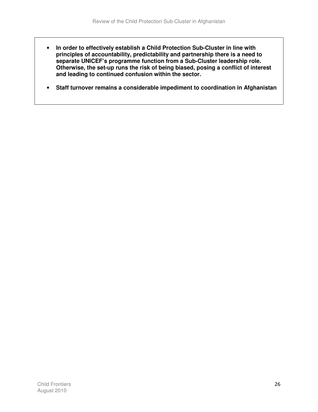- **In order to effectively establish a Child Protection Sub-Cluster in line with principles of accountability, predictability and partnership there is a need to separate UNICEF's programme function from a Sub-Cluster leadership role. Otherwise, the set-up runs the risk of being biased, posing a conflict of interest and leading to continued confusion within the sector.**
- **Staff turnover remains a considerable impediment to coordination in Afghanistan**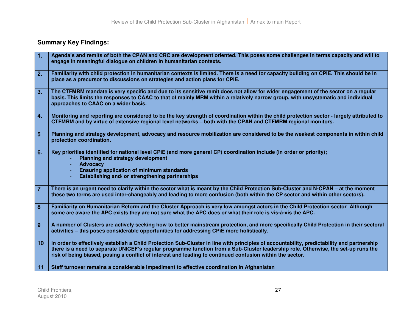## **Summary Key Findings:**

| 1.             | Agenda's and remits of both the CPAN and CRC are development oriented. This poses some challenges in terms capacity and will to                                                                                                                                                                                                                                                               |
|----------------|-----------------------------------------------------------------------------------------------------------------------------------------------------------------------------------------------------------------------------------------------------------------------------------------------------------------------------------------------------------------------------------------------|
|                | engage in meaningful dialogue on children in humanitarian contexts.                                                                                                                                                                                                                                                                                                                           |
| 2.             | Familiarity with child protection in humanitarian contexts is limited. There is a need for capacity building on CPIE. This should be in                                                                                                                                                                                                                                                       |
|                | place as a precursor to discussions on strategies and action plans for CPIE.                                                                                                                                                                                                                                                                                                                  |
| 3.             | The CTFMRM mandate is very specific and due to its sensitive remit does not allow for wider engagement of the sector on a regular<br>basis. This limits the responses to CAAC to that of mainly MRM within a relatively narrow group, with unsystematic and individual<br>approaches to CAAC on a wider basis.                                                                                |
| 4.             | Monitoring and reporting are considered to be the key strength of coordination within the child protection sector - largely attributed to<br>CTFMRM and by virtue of extensive regional level networks - both with the CPAN and CTFMRM regional monitors.                                                                                                                                     |
| 5              | Planning and strategy development, advocacy and resource mobilization are considered to be the weakest components in within child<br>protection coordination.                                                                                                                                                                                                                                 |
| 6.             | Key priorities identified for national level CPiE (and more general CP) coordination include (in order or priority);<br><b>Planning and strategy development</b><br><b>Advocacy</b><br><b>Ensuring application of minimum standards</b><br>Establishing and/ or strengthening partnerships                                                                                                    |
| $\overline{7}$ | There is an urgent need to clarify within the sector what is meant by the Child Protection Sub-Cluster and N-CPAN – at the moment<br>these two terms are used inter-changeably and leading to more confusion (both within the CP sector and within other sectors).                                                                                                                            |
| 8              | Familiarity on Humanitarian Reform and the Cluster Approach is very low amongst actors in the Child Protection sector. Although<br>some are aware the APC exists they are not sure what the APC does or what their role is vis-à-vis the APC.                                                                                                                                                 |
| 9              | A number of Clusters are actively seeking how to better mainstream protection, and more specifically Child Protection in their sectoral<br>activities - this poses considerable opportunities for addressing CPiE more holistically.                                                                                                                                                          |
| 10             | In order to effectively establish a Child Protection Sub-Cluster in line with principles of accountability, predictability and partnership<br>there is a need to separate UNICEF's regular programme function from a Sub-Cluster leadership role. Otherwise, the set-up runs the<br>risk of being biased, posing a conflict of interest and leading to continued confusion within the sector. |
| 11             | Staff turnover remains a considerable impediment to effective coordination in Afghanistan                                                                                                                                                                                                                                                                                                     |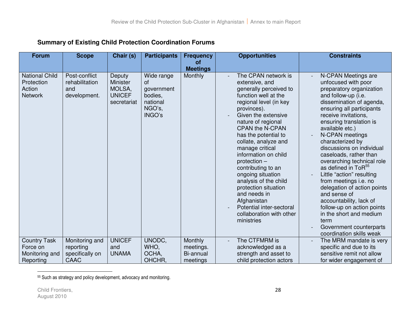| <b>Forum</b>                                                    | <b>Scope</b>                                           | Chair (s)                                                           | <b>Participants</b>                                                       | <b>Opportunities</b><br><b>Frequency</b>      |                                                                                                                                                                                                                                                                                                                                                                                                                                                                                                                     | <b>Constraints</b>                                                                                                                                                                                                                                                                                                                                                                                                                                                                                                                                                                                                                                  |
|-----------------------------------------------------------------|--------------------------------------------------------|---------------------------------------------------------------------|---------------------------------------------------------------------------|-----------------------------------------------|---------------------------------------------------------------------------------------------------------------------------------------------------------------------------------------------------------------------------------------------------------------------------------------------------------------------------------------------------------------------------------------------------------------------------------------------------------------------------------------------------------------------|-----------------------------------------------------------------------------------------------------------------------------------------------------------------------------------------------------------------------------------------------------------------------------------------------------------------------------------------------------------------------------------------------------------------------------------------------------------------------------------------------------------------------------------------------------------------------------------------------------------------------------------------------------|
|                                                                 |                                                        |                                                                     |                                                                           | οf<br><b>Meetings</b>                         |                                                                                                                                                                                                                                                                                                                                                                                                                                                                                                                     |                                                                                                                                                                                                                                                                                                                                                                                                                                                                                                                                                                                                                                                     |
| <b>National Child</b><br>Protection<br>Action<br><b>Network</b> | Post-conflict<br>rehabilitation<br>and<br>development. | Deputy<br><b>Minister</b><br>MOLSA,<br><b>UNICEF</b><br>secretariat | Wide range<br>of<br>government<br>bodies,<br>national<br>NGO's,<br>INGO's | Monthly                                       | The CPAN network is<br>extensive, and<br>generally perceived to<br>function well at the<br>regional level (in key<br>provinces).<br>Given the extensive<br>nature of regional<br><b>CPAN the N-CPAN</b><br>has the potential to<br>collate, analyze and<br>manage critical<br>information on child<br>protection -<br>contributing to an<br>ongoing situation<br>analysis of the child<br>protection situation<br>and needs in<br>Afghanistan<br>Potential inter-sectoral<br>collaboration with other<br>ministries | N-CPAN Meetings are<br>unfocused with poor<br>preparatory organization<br>and follow-up (i.e.<br>dissemination of agenda,<br>ensuring all participants<br>receive invitations,<br>ensuring translation is<br>available etc.)<br>N-CPAN meetings<br>characterized by<br>discussions on individual<br>caseloads, rather than<br>overarching technical role<br>as defined in ToR <sup>55</sup><br>Little "action" resulting<br>from meetings i.e. no<br>delegation of action points<br>and sense of<br>accountability, lack of<br>follow-up on action points<br>in the short and medium<br>term<br>Government counterparts<br>coordination skills weak |
| <b>Country Task</b><br>Force on<br>Monitoring and<br>Reporting  | Monitoring and<br>reporting<br>specifically on<br>CAAC | <b>UNICEF</b><br>and<br><b>UNAMA</b>                                | UNODC,<br>WHO,<br>OCHA,<br>OHCHR.                                         | Monthly<br>meetings.<br>Bi-annual<br>meetings | The CTFMRM is<br>acknowledged as a<br>strength and asset to<br>child protection actors                                                                                                                                                                                                                                                                                                                                                                                                                              | The MRM mandate is very<br>$\overline{a}$<br>specific and due to its<br>sensitive remit not allow<br>for wider engagement of                                                                                                                                                                                                                                                                                                                                                                                                                                                                                                                        |

## **Summary of Existing Child Protection Coordination Forums**

<sup>55</sup> Such as strategy and policy development, advocacy and monitoring.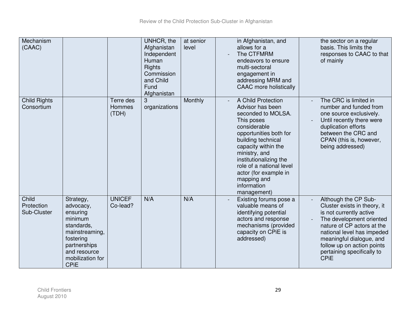| Mechanism<br>(CAAC)                |                                                                                                                                                               |                                     | UNHCR, the<br>Afghanistan<br>Independent<br>Human<br><b>Rights</b><br>Commission<br>and Child<br>Fund<br>Afghanistan | at senior<br>level | in Afghanistan, and<br>allows for a<br>The CTFMRM<br>endeavors to ensure<br>multi-sectoral<br>engagement in<br>addressing MRM and<br><b>CAAC</b> more holistically                                                                                                                                             | the sector on a regular<br>basis. This limits the<br>responses to CAAC to that<br>of mainly                                                                                                                                                                                    |
|------------------------------------|---------------------------------------------------------------------------------------------------------------------------------------------------------------|-------------------------------------|----------------------------------------------------------------------------------------------------------------------|--------------------|----------------------------------------------------------------------------------------------------------------------------------------------------------------------------------------------------------------------------------------------------------------------------------------------------------------|--------------------------------------------------------------------------------------------------------------------------------------------------------------------------------------------------------------------------------------------------------------------------------|
| <b>Child Rights</b><br>Consortium  |                                                                                                                                                               | Terre des<br><b>Hommes</b><br>(TDH) | 3<br>organizations                                                                                                   | Monthly            | A Child Protection<br>Advisor has been<br>seconded to MOLSA.<br>This poses<br>considerable<br>opportunities both for<br>building technical<br>capacity within the<br>ministry, and<br>institutionalizing the<br>role of a national level<br>actor (for example in<br>mapping and<br>information<br>management) | The CRC is limited in<br>number and funded from<br>one source exclusively.<br>Until recently there were<br>duplication efforts<br>between the CRC and<br>CPAN (this is, however,<br>being addressed)                                                                           |
| Child<br>Protection<br>Sub-Cluster | Strategy,<br>advocacy,<br>ensuring<br>minimum<br>standards,<br>mainstreaming,<br>fostering<br>partnerships<br>and resource<br>mobilization for<br><b>CPIE</b> | <b>UNICEF</b><br>Co-lead?           | N/A                                                                                                                  | N/A                | Existing forums pose a<br>valuable means of<br>identifying potential<br>actors and response<br>mechanisms (provided<br>capacity on CPIE is<br>addressed)                                                                                                                                                       | Although the CP Sub-<br>Cluster exists in theory, it<br>is not currently active<br>The development oriented<br>nature of CP actors at the<br>national level has impeded<br>meaningful dialogue, and<br>follow up on action points<br>pertaining specifically to<br><b>CPIE</b> |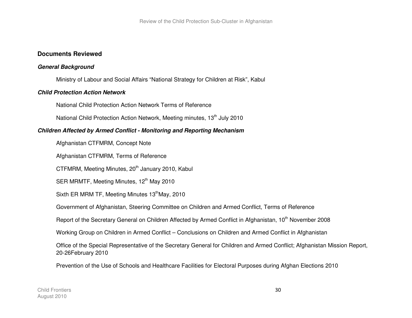#### **Documents Reviewed**

#### **General Background**

Ministry of Labour and Social Affairs "National Strategy for Children at Risk", Kabul

#### **Child Protection Action Network**

National Child Protection Action Network Terms of Reference

National Child Protection Action Network, Meeting minutes, 13<sup>th</sup> July 2010

#### **Children Affected by Armed Conflict - Monitoring and Reporting Mechanism**

Afghanistan CTFMRM, Concept Note

Afghanistan CTFMRM, Terms of Reference

CTFMRM, Meeting Minutes, 20<sup>th</sup> January 2010, Kabul

SER MRMTF, Meeting Minutes, 12<sup>th</sup> May 2010

Sixth ER MRM TF, Meeting Minutes 13<sup>th</sup>May, 2010

Government of Afghanistan, Steering Committee on Children and Armed Conflict, Terms of Reference

Report of the Secretary General on Children Affected by Armed Conflict in Afghanistan, 10<sup>th</sup> November 2008

Working Group on Children in Armed Conflict – Conclusions on Children and Armed Conflict in Afghanistan

Office of the Special Representative of the Secretary General for Children and Armed Conflict; Afghanistan Mission Report, 20-26February 2010

Prevention of the Use of Schools and Healthcare Facilities for Electoral Purposes during Afghan Elections 2010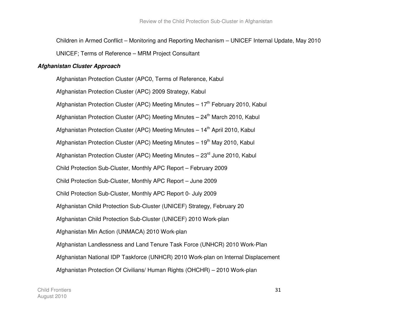Children in Armed Conflict – Monitoring and Reporting Mechanism – UNICEF Internal Update, May 2010

UNICEF; Terms of Reference – MRM Project Consultant

#### **Afghanistan Cluster Approach**

Afghanistan Protection Cluster (APC0, Terms of Reference, Kabul Afghanistan Protection Cluster (APC) 2009 Strategy, Kabul Afghanistan Protection Cluster (APC) Meeting Minutes –  $17<sup>th</sup>$  February 2010, Kabul Afghanistan Protection Cluster (APC) Meeting Minutes  $-24<sup>th</sup>$  March 2010, Kabul Afghanistan Protection Cluster (APC) Meeting Minutes – 14<sup>th</sup> April 2010, Kabul Afghanistan Protection Cluster (APC) Meeting Minutes  $-19<sup>th</sup>$  May 2010, Kabul Afghanistan Protection Cluster (APC) Meeting Minutes –  $23<sup>rd</sup>$  June 2010, Kabul Child Protection Sub-Cluster, Monthly APC Report – February 2009 Child Protection Sub-Cluster, Monthly APC Report – June 2009 Child Protection Sub-Cluster, Monthly APC Report 0- July 2009 Afghanistan Child Protection Sub-Cluster (UNICEF) Strategy, February 20 Afghanistan Child Protection Sub-Cluster (UNICEF) 2010 Work-plan Afghanistan Min Action (UNMACA) 2010 Work-plan Afghanistan Landlessness and Land Tenure Task Force (UNHCR) 2010 Work-Plan Afghanistan National IDP Taskforce (UNHCR) 2010 Work-plan on Internal Displacement Afghanistan Protection Of Civilians/ Human Rights (OHCHR) – 2010 Work-plan

Child FrontiersAugust 2010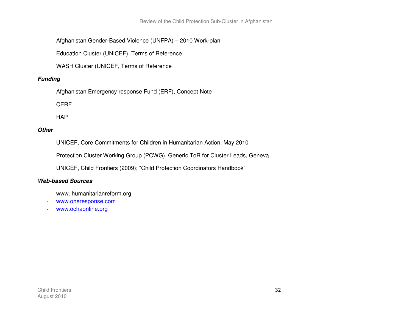Review of the Child Protection Sub-Cluster in Afghanistan

Afghanistan Gender-Based Violence (UNFPA) – 2010 Work-plan

Education Cluster (UNICEF), Terms of Reference

WASH Cluster (UNICEF, Terms of Reference

## **Funding**

Afghanistan Emergency response Fund (ERF), Concept Note

CERF

**HAP** 

#### **Other**

UNICEF, Core Commitments for Children in Humanitarian Action, May 2010

Protection Cluster Working Group (PCWG), Generic ToR for Cluster Leads, Geneva

UNICEF, Child Frontiers (2009); "Child Protection Coordinators Handbook"

## **Web-based Sources**

- www. humanitarianreform.org
- www.oneresponse.com
- www.ochaonline.org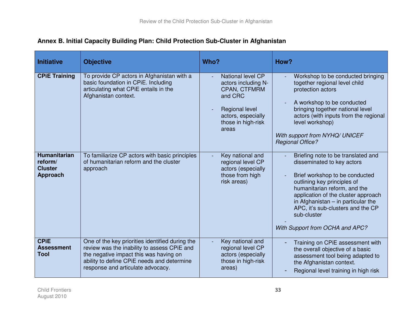| <b>Initiative</b>                                                                    | <b>Objective</b>                                                                                                                                                                                                                                           | Who?                                                                                                                                                                                                                                        | How?                                                                                                                                                                                                                                                                                                                                                                                                                                                                                                                                                                                       |
|--------------------------------------------------------------------------------------|------------------------------------------------------------------------------------------------------------------------------------------------------------------------------------------------------------------------------------------------------------|---------------------------------------------------------------------------------------------------------------------------------------------------------------------------------------------------------------------------------------------|--------------------------------------------------------------------------------------------------------------------------------------------------------------------------------------------------------------------------------------------------------------------------------------------------------------------------------------------------------------------------------------------------------------------------------------------------------------------------------------------------------------------------------------------------------------------------------------------|
| <b>CPIE Training</b><br><b>Humanitarian</b><br>reform/<br><b>Cluster</b><br>Approach | To provide CP actors in Afghanistan with a<br>basic foundation in CPiE. Including<br>articulating what CPiE entails in the<br>Afghanistan context.<br>To familiarize CP actors with basic principles<br>of humanitarian reform and the cluster<br>approach | National level CP<br>actors including N-<br>CPAN, CTFMRM<br>and CRC<br>Regional level<br>actors, especially<br>those in high-risk<br>areas<br>Key national and<br>regional level CP<br>actors (especially<br>those from high<br>risk areas) | Workshop to be conducted bringing<br>together regional level child<br>protection actors<br>A workshop to be conducted<br>bringing together national level<br>actors (with inputs from the regional<br>level workshop)<br>With support from NYHQ/ UNICEF<br><b>Regional Office?</b><br>Briefing note to be translated and<br>disseminated to key actors<br>Brief workshop to be conducted<br>outlining key principles of<br>humanitarian reform, and the<br>application of the cluster approach<br>in Afghanistan $-$ in particular the<br>APC, it's sub-clusters and the CP<br>sub-cluster |
|                                                                                      |                                                                                                                                                                                                                                                            |                                                                                                                                                                                                                                             | With Support from OCHA and APC?                                                                                                                                                                                                                                                                                                                                                                                                                                                                                                                                                            |
| <b>CPIE</b><br><b>Assessment</b><br><b>Tool</b>                                      | One of the key priorities identified during the<br>review was the inability to assess CPiE and<br>the negative impact this was having on<br>ability to define CPIE needs and determine<br>response and articulate advocacy.                                | Key national and<br>regional level CP<br>actors (especially<br>those in high-risk<br>areas)                                                                                                                                                 | Training on CPIE assessment with<br>the overall objective of a basic<br>assessment tool being adapted to<br>the Afghanistan context.<br>Regional level training in high risk                                                                                                                                                                                                                                                                                                                                                                                                               |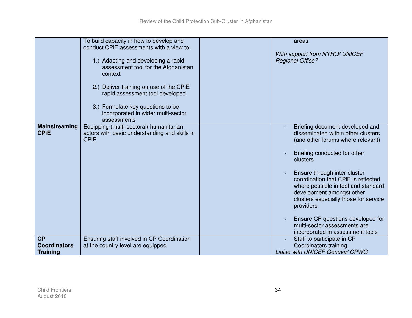|                                              | To build capacity in how to develop and<br>conduct CPIE assessments with a view to:                                                                                                                                                                           | areas                                                                                                                                                                                                                                                                                                                                                                                                                                                            |
|----------------------------------------------|---------------------------------------------------------------------------------------------------------------------------------------------------------------------------------------------------------------------------------------------------------------|------------------------------------------------------------------------------------------------------------------------------------------------------------------------------------------------------------------------------------------------------------------------------------------------------------------------------------------------------------------------------------------------------------------------------------------------------------------|
|                                              | 1.) Adapting and developing a rapid<br>assessment tool for the Afghanistan<br>context<br>2.) Deliver training on use of the CPIE<br>rapid assessment tool developed<br>3.) Formulate key questions to be<br>incorporated in wider multi-sector<br>assessments | With support from NYHQ/ UNICEF<br><b>Regional Office?</b>                                                                                                                                                                                                                                                                                                                                                                                                        |
| Mainstreaming<br><b>CPIE</b>                 | Equipping (multi-sectoral) humanitarian<br>actors with basic understanding and skills in<br><b>CPIE</b>                                                                                                                                                       | Briefing document developed and<br>disseminated within other clusters<br>(and other forums where relevant)<br>Briefing conducted for other<br>clusters<br>Ensure through inter-cluster<br>coordination that CPIE is reflected<br>where possible in tool and standard<br>development amongst other<br>clusters especially those for service<br>providers<br>Ensure CP questions developed for<br>multi-sector assessments are<br>incorporated in assessment tools |
| CP<br><b>Coordinators</b><br><b>Training</b> | Ensuring staff involved in CP Coordination<br>at the country level are equipped                                                                                                                                                                               | Staff to participate in CP<br>Coordinators training<br>Liaise with UNICEF Geneva/ CPWG                                                                                                                                                                                                                                                                                                                                                                           |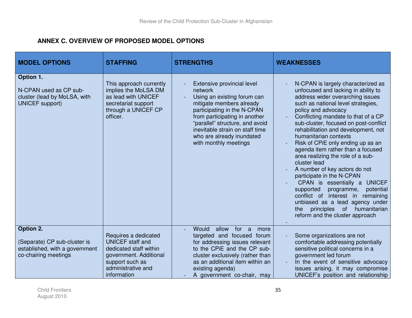## **ANNEX C. OVERVIEW OF PROPOSED MODEL OPTIONS**

| <b>MODEL OPTIONS</b>                                                                                | <b>STAFFING</b>                                                                                                                                             | <b>STRENGTHS</b>                                                                                                                                                                                                                                                                             | <b>WEAKNESSES</b>                                                                                                                                                                                                                                                                                                                                                                                                                                                                                                                                                                                                                                                                                                                                        |
|-----------------------------------------------------------------------------------------------------|-------------------------------------------------------------------------------------------------------------------------------------------------------------|----------------------------------------------------------------------------------------------------------------------------------------------------------------------------------------------------------------------------------------------------------------------------------------------|----------------------------------------------------------------------------------------------------------------------------------------------------------------------------------------------------------------------------------------------------------------------------------------------------------------------------------------------------------------------------------------------------------------------------------------------------------------------------------------------------------------------------------------------------------------------------------------------------------------------------------------------------------------------------------------------------------------------------------------------------------|
| Option 1.<br>N-CPAN used as CP sub-<br>cluster (lead by MoLSA, with<br>UNICEF support)              | This approach currently<br>implies the MoLSA DM<br>as lead with UNICEF<br>secretariat support<br>through a UNICEF CP<br>officer.                            | Extensive provincial level<br>network<br>Using an existing forum can<br>mitigate members already<br>participating in the N-CPAN<br>from participating in another<br>"parallel" structure, and avoid<br>inevitable strain on staff time<br>who are already inundated<br>with monthly meetings | N-CPAN is largely characterized as<br>unfocused and lacking in ability to<br>address wider overarching issues<br>such as national level strategies,<br>policy and advocacy<br>Conflicting mandate to that of a CP<br>sub-cluster, focused on post-conflict<br>rehabilitation and development, not<br>humanitarian contexts<br>Risk of CPiE only ending up as an<br>agenda item rather than a focused<br>area realizing the role of a sub-<br>cluster lead<br>A number of key actors do not<br>participate in the N-CPAN<br>CPAN is essentially a UNICEF<br>supported<br>programme,<br>potential<br>conflict of interest in<br>remaining<br>unbiased as a lead agency under<br>of<br>humanitarian<br>principles<br>the<br>reform and the cluster approach |
| Option 2.<br>(Separate) CP sub-cluster is<br>established, with a government<br>co-chairing meetings | Requires a dedicated<br><b>UNICEF</b> staff and<br>dedicated staff within<br>government. Additional<br>support such as<br>administrative and<br>information | Would<br>for a<br>allow<br>more<br>targeted and focused forum<br>for addressing issues relevant<br>to the CPiE and the CP sub-<br>cluster exclusively (rather than<br>as an additional item within an<br>existing agenda)<br>A government co-chair, may                                      | Some organizations are not<br>comfortable addressing potentially<br>sensitive political concerns in a<br>government led forum<br>In the event of sensitive advocacy<br>issues arising, it may compromise<br>UNICEF's position and relationship                                                                                                                                                                                                                                                                                                                                                                                                                                                                                                           |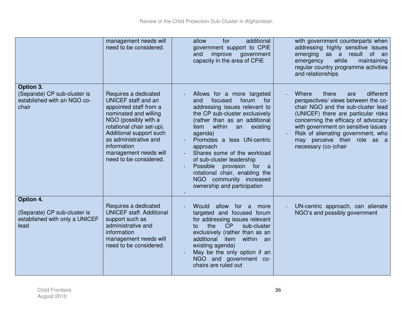|                                                                                     | management needs will<br>need to be considered.                                                                                                                                                                                                                           | additional<br>for<br>allow<br>government support to CPiE<br>improve<br>and<br>government<br>capacity in the area of CPiE                                                                                                                                                                                                                                                                                                                            | with government counterparts when<br>addressing highly sensitive issues<br>emerging as a result of an<br>while<br>emergency<br>maintaining<br>regular country programme activities<br>and relationships                                                                                                                            |
|-------------------------------------------------------------------------------------|---------------------------------------------------------------------------------------------------------------------------------------------------------------------------------------------------------------------------------------------------------------------------|-----------------------------------------------------------------------------------------------------------------------------------------------------------------------------------------------------------------------------------------------------------------------------------------------------------------------------------------------------------------------------------------------------------------------------------------------------|------------------------------------------------------------------------------------------------------------------------------------------------------------------------------------------------------------------------------------------------------------------------------------------------------------------------------------|
| Option 3.<br>(Separate) CP sub-cluster is<br>established with an NGO co-<br>chair   | Requires a dedicated<br>UNICEF staff and an<br>appointed staff from a<br>nominated and willing<br>NGO (possibly with a<br>rotational chair set-up).<br>Additional support such<br>as administrative and<br>information<br>management needs will<br>need to be considered. | Allows for a more targeted<br>focused<br>forum<br>for<br>and<br>addressing issues relevant to<br>the CP sub-cluster exclusively<br>(rather than as an additional<br>within<br>an<br>existing<br>item<br>agenda)<br>Promotes a less UN-centric<br>approach<br>Shares some of the workload<br>of sub-cluster leadership<br>Possible<br>provision for<br>a<br>rotational chair, enabling the<br>NGO community increased<br>ownership and participation | Where<br>there<br>different<br>are<br>perspectives/ views between the co-<br>chair NGO and the sub-cluster lead<br>(UNICEF) there are particular risks<br>concerning the efficacy of advocacy<br>with government on sensitive issues<br>Risk of alienating government, who<br>may perceive their role as a<br>necessary (co-)chair |
| Option 4.<br>(Separate) CP sub-cluster is<br>established with only a UNICEF<br>lead | Requires a dedicated<br><b>UNICEF staff. Additional</b><br>support such as<br>administrative and<br>information<br>management needs will<br>need to be considered.                                                                                                        | Would<br>allow<br>for a<br>more<br>targeted and focused forum<br>for addressing issues relevant<br>CP<br>the<br>sub-cluster<br>to<br>exclusively (rather than as an<br>additional item<br>within an<br>existing agenda)<br>May be the only option if an<br>NGO and government co-<br>chairs are ruled out                                                                                                                                           | UN-centric approach, can alienate<br>NGO's and possibly government                                                                                                                                                                                                                                                                 |